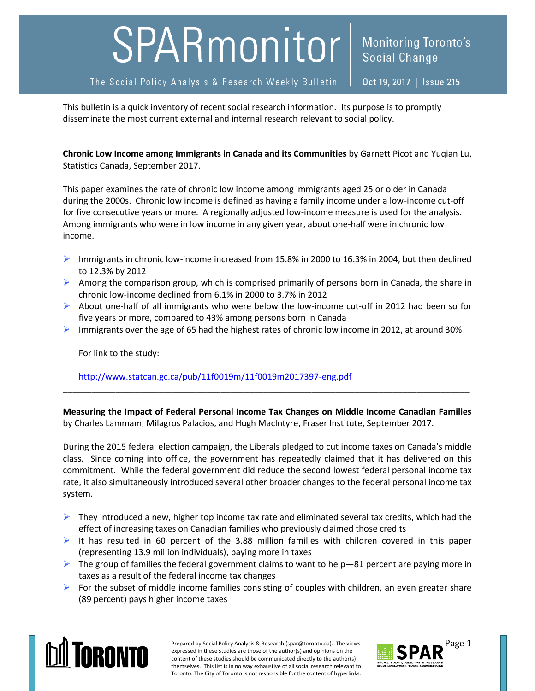## SPARmonitor

## The Social Policy Analysis & Research Weekly Bulletin

Oct 19, 2017 | Issue 215

**Social Change** 

**Monitoring Toronto's** 

This bulletin is a quick inventory of recent social research information. Its purpose is to promptly disseminate the most current external and internal research relevant to social policy.

**Chronic Low Income among Immigrants in Canada and its Communities** by Garnett Picot and Yuqian Lu, Statistics Canada, September 2017.

\_\_\_\_\_\_\_\_\_\_\_\_\_\_\_\_\_\_\_\_\_\_\_\_\_\_\_\_\_\_\_\_\_\_\_\_\_\_\_\_\_\_\_\_\_\_\_\_\_\_\_\_\_\_\_\_\_\_\_\_\_\_\_\_\_\_\_\_\_\_\_\_\_\_\_\_\_\_\_\_\_\_\_\_\_

This paper examines the rate of chronic low income among immigrants aged 25 or older in Canada during the 2000s. Chronic low income is defined as having a family income under a low-income cut-off for five consecutive years or more. A regionally adjusted low-income measure is used for the analysis. Among immigrants who were in low income in any given year, about one-half were in chronic low income.

- Immigrants in chronic low-income increased from 15.8% in 2000 to 16.3% in 2004, but then declined to 12.3% by 2012
- Among the comparison group, which is comprised primarily of persons born in Canada, the share in chronic low-income declined from 6.1% in 2000 to 3.7% in 2012
- $\triangleright$  About one-half of all immigrants who were below the low-income cut-off in 2012 had been so for five years or more, compared to 43% among persons born in Canada
- Immigrants over the age of 65 had the highest rates of chronic low income in 2012, at around 30%

For link to the study:

<http://www.statcan.gc.ca/pub/11f0019m/11f0019m2017397-eng.pdf>

**Measuring the Impact of Federal Personal Income Tax Changes on Middle Income Canadian Families** by Charles Lammam, Milagros Palacios, and Hugh MacIntyre, Fraser Institute, September 2017.

**\_\_\_\_\_\_\_\_\_\_\_\_\_\_\_\_\_\_\_\_\_\_\_\_\_\_\_\_\_\_\_\_\_\_\_\_\_\_\_\_\_\_\_\_\_\_\_\_\_\_\_\_\_\_\_\_\_\_\_\_\_\_\_\_\_\_\_\_\_\_\_\_\_\_\_\_\_\_\_\_\_\_\_\_\_**

During the 2015 federal election campaign, the Liberals pledged to cut income taxes on Canada's middle class. Since coming into office, the government has repeatedly claimed that it has delivered on this commitment. While the federal government did reduce the second lowest federal personal income tax rate, it also simultaneously introduced several other broader changes to the federal personal income tax system.

- $\triangleright$  They introduced a new, higher top income tax rate and eliminated several tax credits, which had the effect of increasing taxes on Canadian families who previously claimed those credits
- It has resulted in 60 percent of the 3.88 million families with children covered in this paper (representing 13.9 million individuals), paying more in taxes
- $\triangleright$  The group of families the federal government claims to want to help -81 percent are paying more in taxes as a result of the federal income tax changes
- $\triangleright$  For the subset of middle income families consisting of couples with children, an even greater share (89 percent) pays higher income taxes



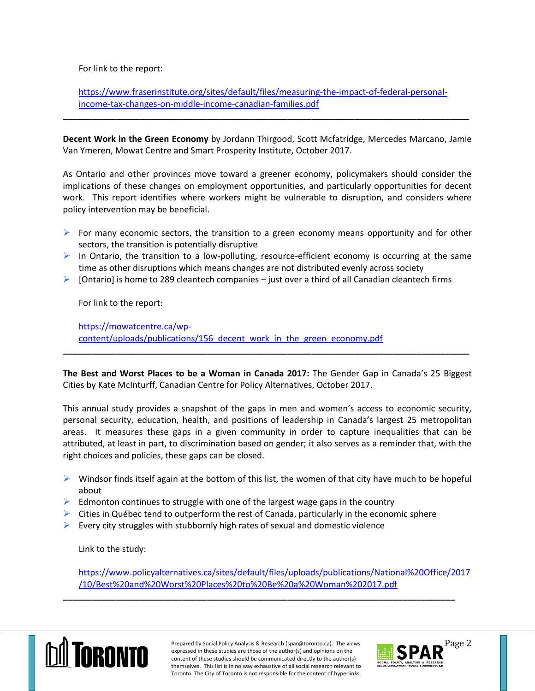For link to the report:

[https://www.fraserinstitute.org/sites/default/files/measuring-the-impact-of-federal-personal](https://www.fraserinstitute.org/sites/default/files/measuring-the-impact-of-federal-personal-income-tax-changes-on-middle-income-canadian-families.pdf)[income-tax-changes-on-middle-income-canadian-families.pdf](https://www.fraserinstitute.org/sites/default/files/measuring-the-impact-of-federal-personal-income-tax-changes-on-middle-income-canadian-families.pdf)

**\_\_\_\_\_\_\_\_\_\_\_\_\_\_\_\_\_\_\_\_\_\_\_\_\_\_\_\_\_\_\_\_\_\_\_\_\_\_\_\_\_\_\_\_\_\_\_\_\_\_\_\_\_\_\_\_\_\_\_\_\_\_\_\_\_\_\_\_\_\_\_\_\_\_\_\_\_\_\_\_\_\_\_\_\_**

**Decent Work in the Green Economy** by Jordann Thirgood, Scott Mcfatridge, Mercedes Marcano, Jamie Van Ymeren, Mowat Centre and Smart Prosperity Institute, October 2017.

As Ontario and other provinces move toward a greener economy, policymakers should consider the implications of these changes on employment opportunities, and particularly opportunities for decent work. This report identifies where workers might be vulnerable to disruption, and considers where policy intervention may be beneficial.

- $\triangleright$  For many economic sectors, the transition to a green economy means opportunity and for other sectors, the transition is potentially disruptive
- $\triangleright$  In Ontario, the transition to a low-polluting, resource-efficient economy is occurring at the same time as other disruptions which means changes are not distributed evenly across society
- $\triangleright$  [Ontario] is home to 289 cleantech companies just over a third of all Canadian cleantech firms

For link to the report:

[https://mowatcentre.ca/wp](https://mowatcentre.ca/wp-content/uploads/publications/156_decent_work_in_the_green_economy.pdf)content/uploads/publications/156 decent work in the green economy.pdf

**The Best and Worst Places to be a Woman in Canada 2017:** The Gender Gap in Canada's 25 Biggest Cities by Kate McInturff, Canadian Centre for Policy Alternatives, October 2017.

**\_\_\_\_\_\_\_\_\_\_\_\_\_\_\_\_\_\_\_\_\_\_\_\_\_\_\_\_\_\_\_\_\_\_\_\_\_\_\_\_\_\_\_\_\_\_\_\_\_\_\_\_\_\_\_\_\_\_\_\_\_\_\_\_\_\_\_\_\_\_\_\_\_\_\_\_\_\_\_\_\_\_\_\_\_**

This annual study provides a snapshot of the gaps in men and women's access to economic security, personal security, education, health, and positions of leadership in Canada's largest 25 metropolitan areas. It measures these gaps in a given community in order to capture inequalities that can be attributed, at least in part, to discrimination based on gender; it also serves as a reminder that, with the right choices and policies, these gaps can be closed.

- $\triangleright$  Windsor finds itself again at the bottom of this list, the women of that city have much to be hopeful about
- Edmonton continues to struggle with one of the largest wage gaps in the country
- $\triangleright$  Cities in Québec tend to outperform the rest of Canada, particularly in the economic sphere
- Every city struggles with stubbornly high rates of sexual and domestic violence

Link to the study:

[https://www.policyalternatives.ca/sites/default/files/uploads/publications/National%20Office/2017](https://www.policyalternatives.ca/sites/default/files/uploads/publications/National%20Office/2017/10/Best%20and%20Worst%20Places%20to%20Be%20a%20Woman%202017.pdf) [/10/Best%20and%20Worst%20Places%20to%20Be%20a%20Woman%202017.pdf](https://www.policyalternatives.ca/sites/default/files/uploads/publications/National%20Office/2017/10/Best%20and%20Worst%20Places%20to%20Be%20a%20Woman%202017.pdf)

**\_\_\_\_\_\_\_\_\_\_\_\_\_\_\_\_\_\_\_\_\_\_\_\_\_\_\_\_\_\_\_\_\_\_\_\_\_\_\_\_\_\_\_\_\_\_\_\_\_\_\_\_\_\_\_\_\_\_\_\_\_\_\_\_\_\_\_\_\_\_\_\_\_\_\_\_\_\_\_\_\_\_**